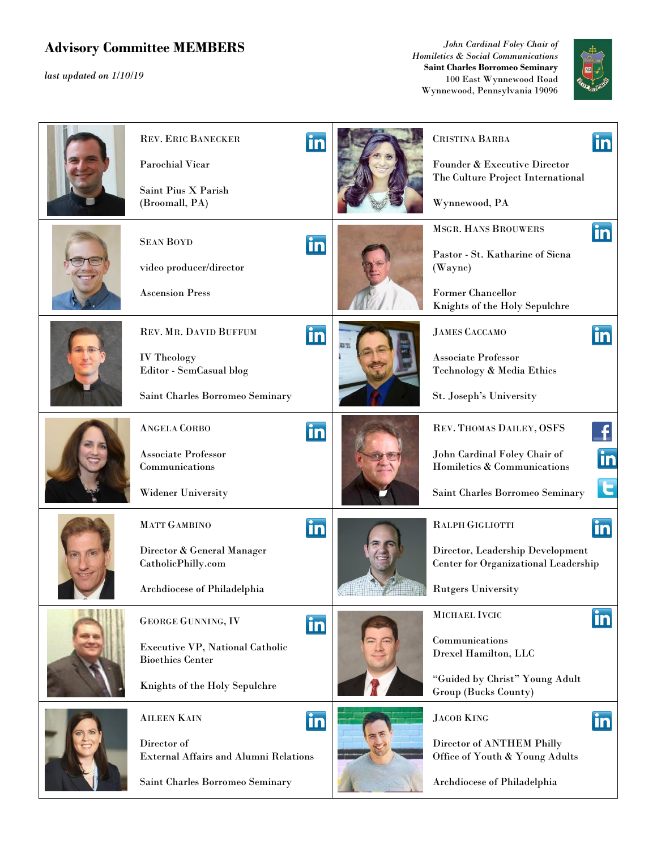## **Advisory Committee MEMBERS**

*last updated on 1/10/19* 

*John Cardinal Foley Chair of Homiletics & Social Communications* **Saint Charles Borromeo Seminary** 100 East Wynnewood Road Wynnewood, Pennsylvania 19096



| <b>REV. ERIC BANECKER</b><br><b>Parochial Vicar</b><br>Saint Pius X Parish<br>(Broomall, PA)                                    | in | <b>CRISTINA BARBA</b><br>Founder & Executive Director<br>The Culture Project International<br>Wynnewood, PA                    | in                 |
|---------------------------------------------------------------------------------------------------------------------------------|----|--------------------------------------------------------------------------------------------------------------------------------|--------------------|
| <b>SEAN BOYD</b><br>video producer/director<br><b>Ascension Press</b>                                                           | in | <b>MSGR. HANS BROUWERS</b><br>Pastor - St. Katharine of Siena<br>(Wayne)<br>Former Chancellor<br>Knights of the Holy Sepulchre | <u>in</u>          |
| REV. MR. DAVID BUFFUM<br><b>IV Theology</b><br>Editor - SemCasual blog<br>Saint Charles Borromeo Seminary                       | in | <b>JAMES CACCAMO</b><br><b>Associate Professor</b><br>Technology & Media Ethics<br>St. Joseph's University                     | in                 |
| <b>ANGELA CORBO</b><br><b>Associate Professor</b><br>Communications<br>Widener University                                       | in | REV. THOMAS DAILEY, OSFS<br>John Cardinal Foley Chair of<br>Homiletics & Communications<br>Saint Charles Borromeo Seminary     | in<br>$\mathbf{c}$ |
| MATT GAMBINO<br>Director & General Manager<br>CatholicPhilly.com<br>Archdiocese of Philadelphia                                 | in | RALPH GIGLIOTTI<br>Director, Leadership Development<br>Center for Organizational Leadership<br><b>Rutgers University</b>       | <u>in</u>          |
| <b>GEORGE GUNNING, IV</b><br><b>Executive VP, National Catholic</b><br><b>Bioethics Center</b><br>Knights of the Holy Sepulchre | in | MICHAEL IVCIC<br>Communications<br>Drexel Hamilton, LLC<br>"Guided by Christ" Young Adult<br>Group (Bucks County)              | <b>in</b>          |
| <b>AILEEN KAIN</b><br>Director of<br><b>External Affairs and Alumni Relations</b><br>Saint Charles Borromeo Seminary            | in | <b>JACOB KING</b><br>Director of ANTHEM Philly<br>Office of Youth & Young Adults<br>Archdiocese of Philadelphia                | <u>in</u>          |